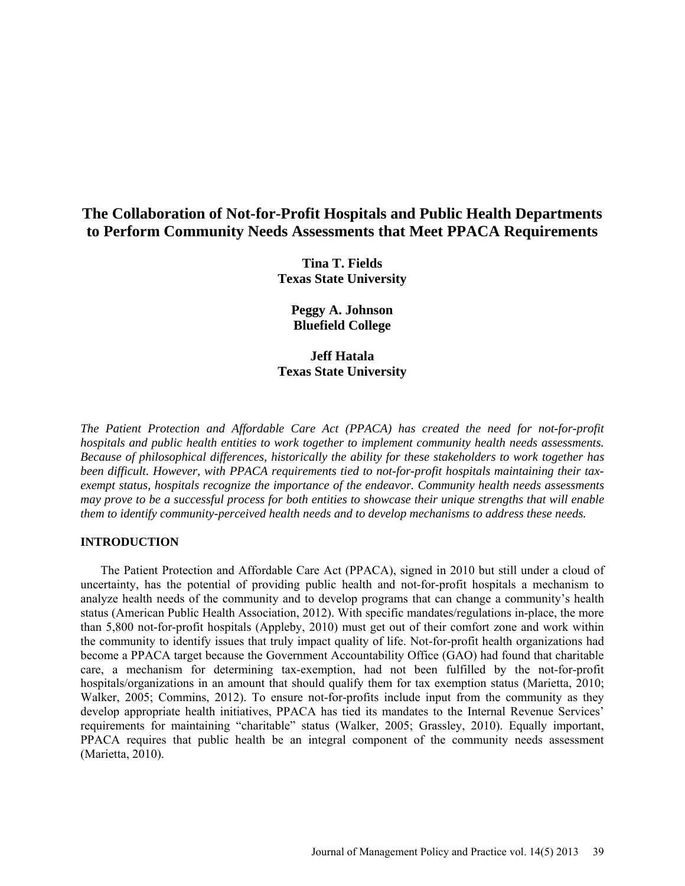# **The Collaboration of Not-for-Profit Hospitals and Public Health Departments to Perform Community Needs Assessments that Meet PPACA Requirements**

**Tina T. Fields Texas State University**

**Peggy A. Johnson Bluefield College**

# **Jeff Hatala Texas State University**

*The Patient Protection and Affordable Care Act (PPACA) has created the need for not-for-profit hospitals and public health entities to work together to implement community health needs assessments. Because of philosophical differences, historically the ability for these stakeholders to work together has been difficult. However, with PPACA requirements tied to not-for-profit hospitals maintaining their taxexempt status, hospitals recognize the importance of the endeavor. Community health needs assessments may prove to be a successful process for both entities to showcase their unique strengths that will enable them to identify community-perceived health needs and to develop mechanisms to address these needs.* 

# **INTRODUCTION**

The Patient Protection and Affordable Care Act (PPACA), signed in 2010 but still under a cloud of uncertainty, has the potential of providing public health and not-for-profit hospitals a mechanism to analyze health needs of the community and to develop programs that can change a community's health status (American Public Health Association, 2012). With specific mandates/regulations in-place, the more than 5,800 not-for-profit hospitals (Appleby, 2010) must get out of their comfort zone and work within the community to identify issues that truly impact quality of life. Not-for-profit health organizations had become a PPACA target because the Government Accountability Office (GAO) had found that charitable care, a mechanism for determining tax-exemption, had not been fulfilled by the not-for-profit hospitals/organizations in an amount that should qualify them for tax exemption status (Marietta, 2010; Walker, 2005; Commins, 2012). To ensure not-for-profits include input from the community as they develop appropriate health initiatives, PPACA has tied its mandates to the Internal Revenue Services' requirements for maintaining "charitable" status (Walker, 2005; Grassley, 2010). Equally important, PPACA requires that public health be an integral component of the community needs assessment (Marietta, 2010).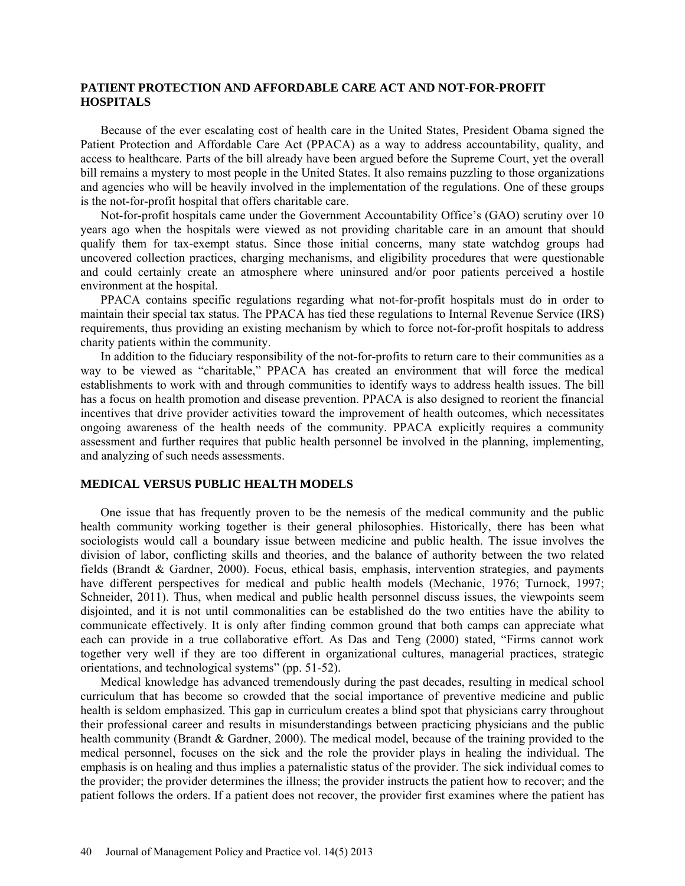# **PATIENT PROTECTION AND AFFORDABLE CARE ACT AND NOT-FOR-PROFIT HOSPITALS**

Because of the ever escalating cost of health care in the United States, President Obama signed the Patient Protection and Affordable Care Act (PPACA) as a way to address accountability, quality, and access to healthcare. Parts of the bill already have been argued before the Supreme Court, yet the overall bill remains a mystery to most people in the United States. It also remains puzzling to those organizations and agencies who will be heavily involved in the implementation of the regulations. One of these groups is the not-for-profit hospital that offers charitable care.

Not-for-profit hospitals came under the Government Accountability Office's (GAO) scrutiny over 10 years ago when the hospitals were viewed as not providing charitable care in an amount that should qualify them for tax-exempt status. Since those initial concerns, many state watchdog groups had uncovered collection practices, charging mechanisms, and eligibility procedures that were questionable and could certainly create an atmosphere where uninsured and/or poor patients perceived a hostile environment at the hospital.

PPACA contains specific regulations regarding what not-for-profit hospitals must do in order to maintain their special tax status. The PPACA has tied these regulations to Internal Revenue Service (IRS) requirements, thus providing an existing mechanism by which to force not-for-profit hospitals to address charity patients within the community.

In addition to the fiduciary responsibility of the not-for-profits to return care to their communities as a way to be viewed as "charitable," PPACA has created an environment that will force the medical establishments to work with and through communities to identify ways to address health issues. The bill has a focus on health promotion and disease prevention. PPACA is also designed to reorient the financial incentives that drive provider activities toward the improvement of health outcomes, which necessitates ongoing awareness of the health needs of the community. PPACA explicitly requires a community assessment and further requires that public health personnel be involved in the planning, implementing, and analyzing of such needs assessments.

#### **MEDICAL VERSUS PUBLIC HEALTH MODELS**

One issue that has frequently proven to be the nemesis of the medical community and the public health community working together is their general philosophies. Historically, there has been what sociologists would call a boundary issue between medicine and public health. The issue involves the division of labor, conflicting skills and theories, and the balance of authority between the two related fields (Brandt & Gardner, 2000). Focus, ethical basis, emphasis, intervention strategies, and payments have different perspectives for medical and public health models (Mechanic, 1976; Turnock, 1997; Schneider, 2011). Thus, when medical and public health personnel discuss issues, the viewpoints seem disjointed, and it is not until commonalities can be established do the two entities have the ability to communicate effectively. It is only after finding common ground that both camps can appreciate what each can provide in a true collaborative effort. As Das and Teng (2000) stated, "Firms cannot work together very well if they are too different in organizational cultures, managerial practices, strategic orientations, and technological systems" (pp. 51-52).

Medical knowledge has advanced tremendously during the past decades, resulting in medical school curriculum that has become so crowded that the social importance of preventive medicine and public health is seldom emphasized. This gap in curriculum creates a blind spot that physicians carry throughout their professional career and results in misunderstandings between practicing physicians and the public health community (Brandt & Gardner, 2000). The medical model, because of the training provided to the medical personnel, focuses on the sick and the role the provider plays in healing the individual. The emphasis is on healing and thus implies a paternalistic status of the provider. The sick individual comes to the provider; the provider determines the illness; the provider instructs the patient how to recover; and the patient follows the orders. If a patient does not recover, the provider first examines where the patient has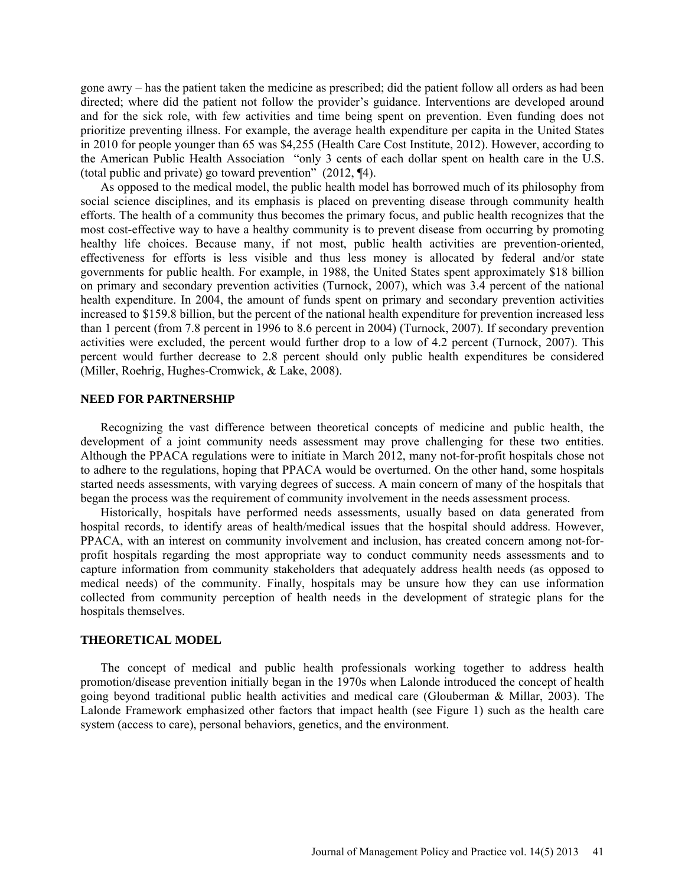gone awry – has the patient taken the medicine as prescribed; did the patient follow all orders as had been directed; where did the patient not follow the provider's guidance. Interventions are developed around and for the sick role, with few activities and time being spent on prevention. Even funding does not prioritize preventing illness. For example, the average health expenditure per capita in the United States in 2010 for people younger than 65 was \$4,255 (Health Care Cost Institute, 2012). However, according to the American Public Health Association "only 3 cents of each dollar spent on health care in the U.S. (total public and private) go toward prevention" (2012, ¶4).

As opposed to the medical model, the public health model has borrowed much of its philosophy from social science disciplines, and its emphasis is placed on preventing disease through community health efforts. The health of a community thus becomes the primary focus, and public health recognizes that the most cost-effective way to have a healthy community is to prevent disease from occurring by promoting healthy life choices. Because many, if not most, public health activities are prevention-oriented, effectiveness for efforts is less visible and thus less money is allocated by federal and/or state governments for public health. For example, in 1988, the United States spent approximately \$18 billion on primary and secondary prevention activities (Turnock, 2007), which was 3.4 percent of the national health expenditure. In 2004, the amount of funds spent on primary and secondary prevention activities increased to \$159.8 billion, but the percent of the national health expenditure for prevention increased less than 1 percent (from 7.8 percent in 1996 to 8.6 percent in 2004) (Turnock, 2007). If secondary prevention activities were excluded, the percent would further drop to a low of 4.2 percent (Turnock, 2007). This percent would further decrease to 2.8 percent should only public health expenditures be considered (Miller, Roehrig, Hughes-Cromwick, & Lake, 2008).

#### **NEED FOR PARTNERSHIP**

Recognizing the vast difference between theoretical concepts of medicine and public health, the development of a joint community needs assessment may prove challenging for these two entities. Although the PPACA regulations were to initiate in March 2012, many not-for-profit hospitals chose not to adhere to the regulations, hoping that PPACA would be overturned. On the other hand, some hospitals started needs assessments, with varying degrees of success. A main concern of many of the hospitals that began the process was the requirement of community involvement in the needs assessment process.

Historically, hospitals have performed needs assessments, usually based on data generated from hospital records, to identify areas of health/medical issues that the hospital should address. However, PPACA, with an interest on community involvement and inclusion, has created concern among not-forprofit hospitals regarding the most appropriate way to conduct community needs assessments and to capture information from community stakeholders that adequately address health needs (as opposed to medical needs) of the community. Finally, hospitals may be unsure how they can use information collected from community perception of health needs in the development of strategic plans for the hospitals themselves.

### **THEORETICAL MODEL**

The concept of medical and public health professionals working together to address health promotion/disease prevention initially began in the 1970s when Lalonde introduced the concept of health going beyond traditional public health activities and medical care (Glouberman & Millar, 2003). The Lalonde Framework emphasized other factors that impact health (see Figure 1) such as the health care system (access to care), personal behaviors, genetics, and the environment.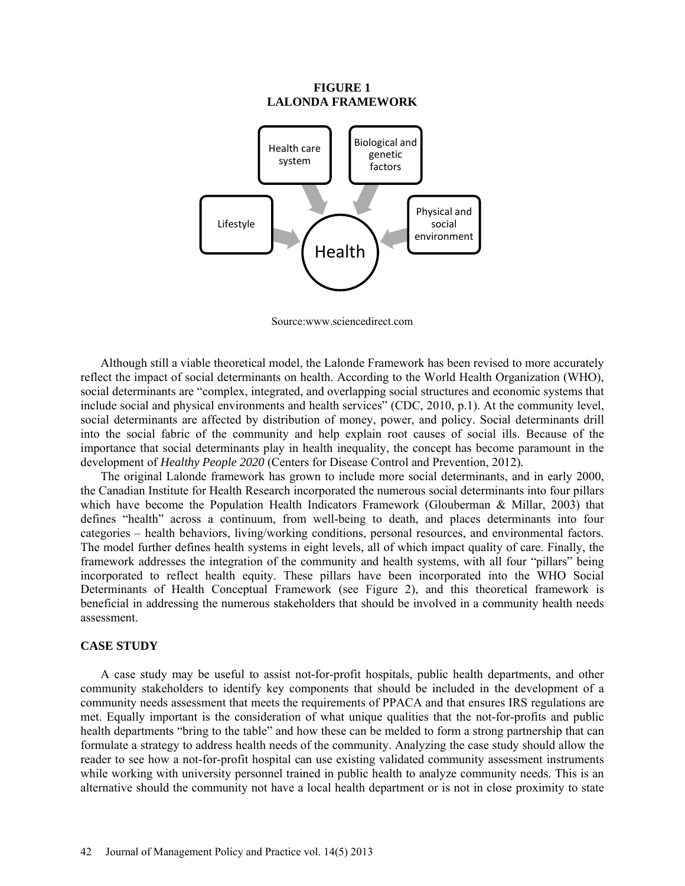### **FIGURE 1 LALONDA FRAMEWORK**



Source[:www.sciencedirect.co](http://www.sciencedirect.c/)m

Although still a viable theoretical model, the Lalonde Framework has been revised to more accurately reflect the impact of social determinants on health. According to the World Health Organization (WHO), social determinants are "complex, integrated, and overlapping social structures and economic systems that include social and physical environments and health services" (CDC, 2010, p.1). At the community level, social determinants are affected by distribution of money, power, and policy. Social determinants drill into the social fabric of the community and help explain root causes of social ills. Because of the importance that social determinants play in health inequality, the concept has become paramount in the development of *Healthy People 2020* (Centers for Disease Control and Prevention, 2012)*.* 

The original Lalonde framework has grown to include more social determinants, and in early 2000, the Canadian Institute for Health Research incorporated the numerous social determinants into four pillars which have become the Population Health Indicators Framework (Glouberman & Millar, 2003) that defines "health" across a continuum, from well-being to death, and places determinants into four categories – health behaviors, living/working conditions, personal resources, and environmental factors. The model further defines health systems in eight levels, all of which impact quality of care. Finally, the framework addresses the integration of the community and health systems, with all four "pillars" being incorporated to reflect health equity. These pillars have been incorporated into the WHO Social Determinants of Health Conceptual Framework (see Figure 2), and this theoretical framework is beneficial in addressing the numerous stakeholders that should be involved in a community health needs assessment.

#### **CASE STUDY**

A case study may be useful to assist not-for-profit hospitals, public health departments, and other community stakeholders to identify key components that should be included in the development of a community needs assessment that meets the requirements of PPACA and that ensures IRS regulations are met. Equally important is the consideration of what unique qualities that the not-for-profits and public health departments "bring to the table" and how these can be melded to form a strong partnership that can formulate a strategy to address health needs of the community. Analyzing the case study should allow the reader to see how a not-for-profit hospital can use existing validated community assessment instruments while working with university personnel trained in public health to analyze community needs. This is an alternative should the community not have a local health department or is not in close proximity to state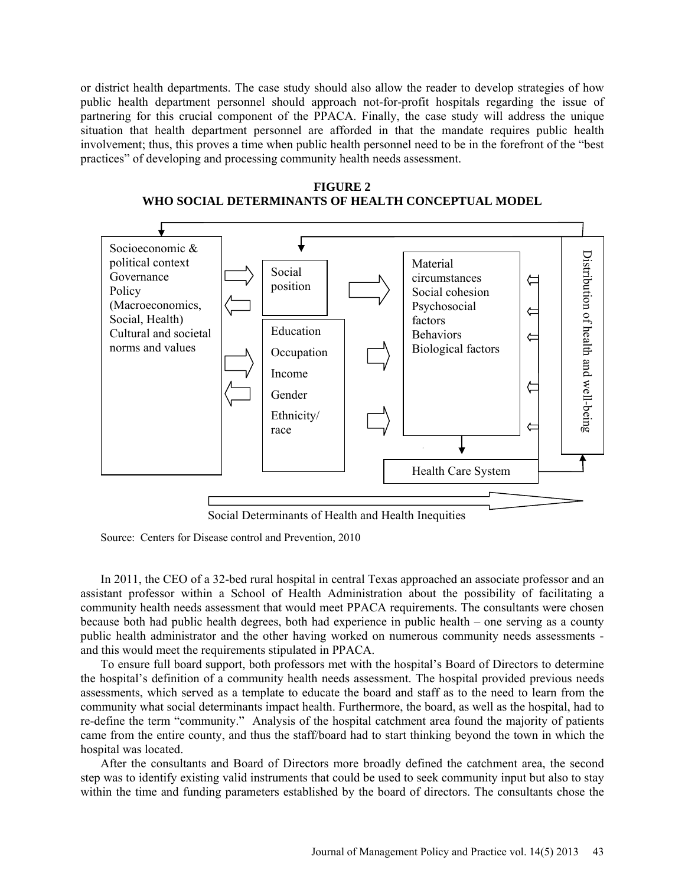or district health departments. The case study should also allow the reader to develop strategies of how public health department personnel should approach not-for-profit hospitals regarding the issue of partnering for this crucial component of the PPACA. Finally, the case study will address the unique situation that health department personnel are afforded in that the mandate requires public health involvement; thus, this proves a time when public health personnel need to be in the forefront of the "best practices" of developing and processing community health needs assessment.

#### **FIGURE 2**

### **WHO SOCIAL DETERMINANTS OF HEALTH CONCEPTUAL MODEL**



Social Determinants of Health and Health Inequities

Source: Centers for Disease control and Prevention, 2010

In 2011, the CEO of a 32-bed rural hospital in central Texas approached an associate professor and an assistant professor within a School of Health Administration about the possibility of facilitating a community health needs assessment that would meet PPACA requirements. The consultants were chosen because both had public health degrees, both had experience in public health – one serving as a county public health administrator and the other having worked on numerous community needs assessments and this would meet the requirements stipulated in PPACA.

To ensure full board support, both professors met with the hospital's Board of Directors to determine the hospital's definition of a community health needs assessment. The hospital provided previous needs assessments, which served as a template to educate the board and staff as to the need to learn from the community what social determinants impact health. Furthermore, the board, as well as the hospital, had to re-define the term "community." Analysis of the hospital catchment area found the majority of patients came from the entire county, and thus the staff/board had to start thinking beyond the town in which the hospital was located.

After the consultants and Board of Directors more broadly defined the catchment area, the second step was to identify existing valid instruments that could be used to seek community input but also to stay within the time and funding parameters established by the board of directors. The consultants chose the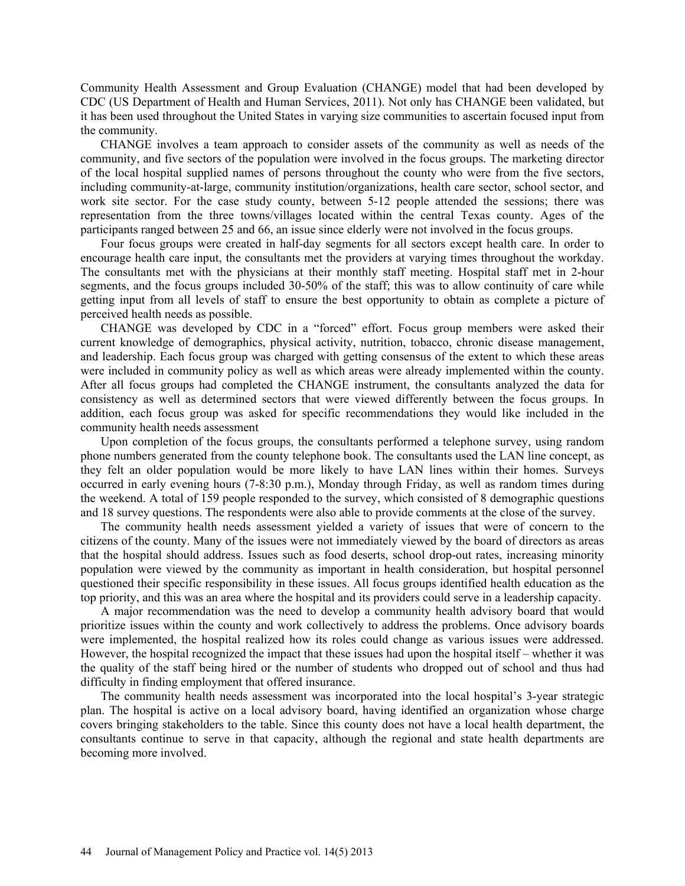Community Health Assessment and Group Evaluation (CHANGE) model that had been developed by CDC (US Department of Health and Human Services, 2011). Not only has CHANGE been validated, but it has been used throughout the United States in varying size communities to ascertain focused input from the community.

CHANGE involves a team approach to consider assets of the community as well as needs of the community, and five sectors of the population were involved in the focus groups. The marketing director of the local hospital supplied names of persons throughout the county who were from the five sectors, including community-at-large, community institution/organizations, health care sector, school sector, and work site sector. For the case study county, between 5-12 people attended the sessions; there was representation from the three towns/villages located within the central Texas county. Ages of the participants ranged between 25 and 66, an issue since elderly were not involved in the focus groups.

Four focus groups were created in half-day segments for all sectors except health care. In order to encourage health care input, the consultants met the providers at varying times throughout the workday. The consultants met with the physicians at their monthly staff meeting. Hospital staff met in 2-hour segments, and the focus groups included 30-50% of the staff; this was to allow continuity of care while getting input from all levels of staff to ensure the best opportunity to obtain as complete a picture of perceived health needs as possible.

CHANGE was developed by CDC in a "forced" effort. Focus group members were asked their current knowledge of demographics, physical activity, nutrition, tobacco, chronic disease management, and leadership. Each focus group was charged with getting consensus of the extent to which these areas were included in community policy as well as which areas were already implemented within the county. After all focus groups had completed the CHANGE instrument, the consultants analyzed the data for consistency as well as determined sectors that were viewed differently between the focus groups. In addition, each focus group was asked for specific recommendations they would like included in the community health needs assessment

Upon completion of the focus groups, the consultants performed a telephone survey, using random phone numbers generated from the county telephone book. The consultants used the LAN line concept, as they felt an older population would be more likely to have LAN lines within their homes. Surveys occurred in early evening hours (7-8:30 p.m.), Monday through Friday, as well as random times during the weekend. A total of 159 people responded to the survey, which consisted of 8 demographic questions and 18 survey questions. The respondents were also able to provide comments at the close of the survey.

The community health needs assessment yielded a variety of issues that were of concern to the citizens of the county. Many of the issues were not immediately viewed by the board of directors as areas that the hospital should address. Issues such as food deserts, school drop-out rates, increasing minority population were viewed by the community as important in health consideration, but hospital personnel questioned their specific responsibility in these issues. All focus groups identified health education as the top priority, and this was an area where the hospital and its providers could serve in a leadership capacity.

A major recommendation was the need to develop a community health advisory board that would prioritize issues within the county and work collectively to address the problems. Once advisory boards were implemented, the hospital realized how its roles could change as various issues were addressed. However, the hospital recognized the impact that these issues had upon the hospital itself – whether it was the quality of the staff being hired or the number of students who dropped out of school and thus had difficulty in finding employment that offered insurance.

The community health needs assessment was incorporated into the local hospital's 3-year strategic plan. The hospital is active on a local advisory board, having identified an organization whose charge covers bringing stakeholders to the table. Since this county does not have a local health department, the consultants continue to serve in that capacity, although the regional and state health departments are becoming more involved.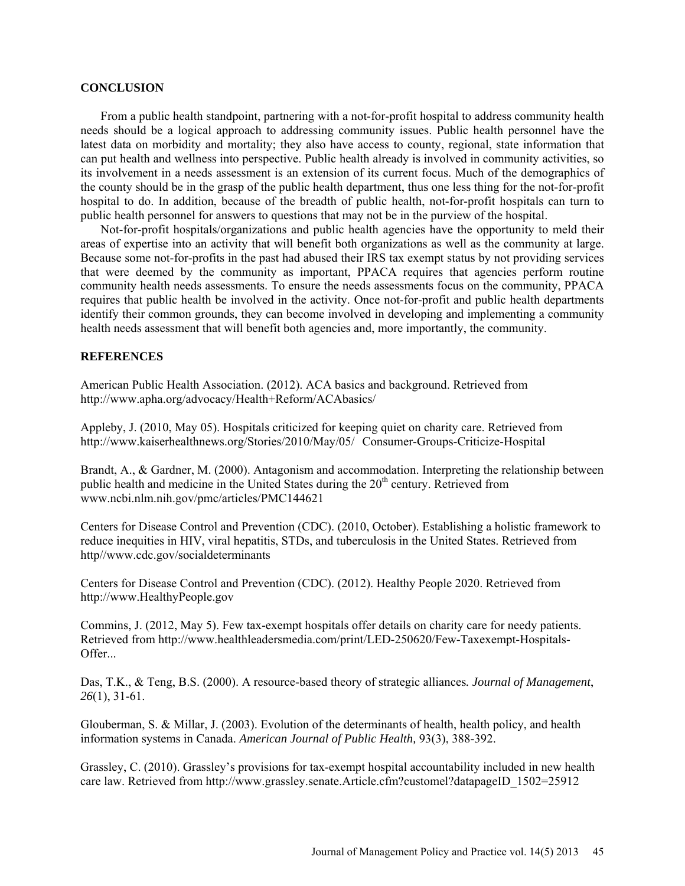#### **CONCLUSION**

From a public health standpoint, partnering with a not-for-profit hospital to address community health needs should be a logical approach to addressing community issues. Public health personnel have the latest data on morbidity and mortality; they also have access to county, regional, state information that can put health and wellness into perspective. Public health already is involved in community activities, so its involvement in a needs assessment is an extension of its current focus. Much of the demographics of the county should be in the grasp of the public health department, thus one less thing for the not-for-profit hospital to do. In addition, because of the breadth of public health, not-for-profit hospitals can turn to public health personnel for answers to questions that may not be in the purview of the hospital.

Not-for-profit hospitals/organizations and public health agencies have the opportunity to meld their areas of expertise into an activity that will benefit both organizations as well as the community at large. Because some not-for-profits in the past had abused their IRS tax exempt status by not providing services that were deemed by the community as important, PPACA requires that agencies perform routine community health needs assessments. To ensure the needs assessments focus on the community, PPACA requires that public health be involved in the activity. Once not-for-profit and public health departments identify their common grounds, they can become involved in developing and implementing a community health needs assessment that will benefit both agencies and, more importantly, the community.

# **REFERENCES**

American Public Health Association. (2012). ACA basics and background. Retrieved from <http://www.apha.org/advocacy/Health+Reform/ACAbasics/>

Appleby, J. (2010, May 05). Hospitals criticized for keeping quiet on charity care. Retrieved from [http://www.kaiserhealthnews.org/Stories/2010/May/05/ Consumer-Groups-Criticize-Hospital](http://www.kaiserhealthnews.org/Stories/2010/May/05/%20%09Consumer-Groups-Critize-Hospital)

Brandt, A., & Gardner, M. (2000). Antagonism and accommodation. Interpreting the relationship between public health and medicine in the United States during the 20<sup>th</sup> century. Retrieved from [www.ncbi.nlm.nih.gov/pmc/articles/PMC144621](http://www.ncbi.nlm.nih.gov/pmc/articles/PMC144621)

Centers for Disease Control and Prevention (CDC). (2010, October). Establishing a holistic framework to reduce inequities in HIV, viral hepatitis, STDs, and tuberculosis in the United States. Retrieved from http//www.cdc.gov/socialdeterminants

Centers for Disease Control and Prevention (CDC). (2012). Healthy People 2020. Retrieved from [http://www.HealthyPeople.gov](http://www.healthypeople.gov/)

Commins, J. (2012, May 5). Few tax-exempt hospitals offer details on charity care for needy patients. Retrieved from [http://www.healthleadersmedia.com/print/LED-250620/Few-Taxexempt-Hospitals-](http://www.healthleadersmedia.com/print/LED-250620/Few-Taxexempt-Hospitals-Offer)[Offer.](http://www.healthleadersmedia.com/print/LED-250620/Few-Taxexempt-Hospitals-Offer)

Das, T.K., & Teng, B.S. (2000). A resource-based theory of strategic alliances*. Journal of Management*, *26*(1), 31-61.

Glouberman, S. & Millar, J. (2003). Evolution of the determinants of health, health policy, and health information systems in Canada. *American Journal of Public Health,* 93(3), 388-392.

Grassley, C. (2010). Grassley's provisions for tax-exempt hospital accountability included in new health care law. Retrieved from [http://www.grassley.senate.Article.cfm?customel?datapageID\\_1502=25912](http://www.grassley.senate.article.cfm/?customel?datapageID_1502=25912)